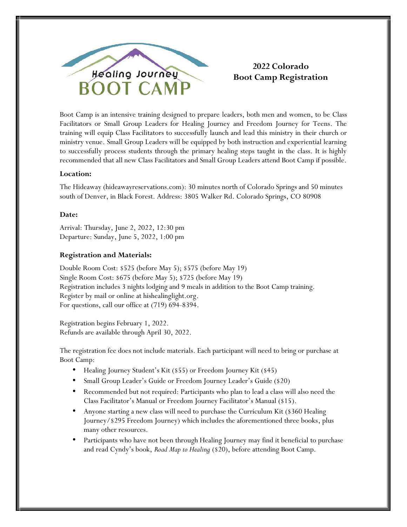

# **2022 Colorado Boot Camp Registration**

Boot Camp is an intensive training designed to prepare leaders, both men and women, to be Class Facilitators or Small Group Leaders for Healing Journey and Freedom Journey for Teens. The training will equip Class Facilitators to successfully launch and lead this ministry in their church or ministry venue. Small Group Leaders will be equipped by both instruction and experiential learning to successfully process students through the primary healing steps taught in the class. It is highly recommended that all new Class Facilitators and Small Group Leaders attend Boot Camp if possible.

## **Location:**

The Hideaway (hideawayreservations.com): 30 minutes north of Colorado Springs and 50 minutes south of Denver, in Black Forest. Address: 3805 Walker Rd. Colorado Springs, CO 80908

#### **Date:**

Arrival: Thursday, June 2, 2022, 12:30 pm Departure: Sunday, June 5, 2022, 1:00 pm

#### **Registration and Materials:**

Double Room Cost: \$525 (before May 5); \$575 (before May 19) Single Room Cost: \$675 (before May 5); \$725 (before May 19) Registration includes 3 nights lodging and 9 meals in addition to the Boot Camp training. Register by mail or online at hishealinglight.org. For questions, call our office at (719) 694-8394.

Registration begins February 1, 2022. Refunds are available through April 30, 2022.

The registration fee does not include materials. Each participant will need to bring or purchase at Boot Camp:

- Healing Journey Student's Kit (\$55) or Freedom Journey Kit (\$45)
- Small Group Leader's Guide or Freedom Journey Leader's Guide (\$20)
- Recommended but not required: Participants who plan to lead a class will also need the Class Facilitator's Manual or Freedom Journey Facilitator's Manual (\$15).
- Anyone starting a new class will need to purchase the Curriculum Kit (\$360 Healing Journey/\$295 Freedom Journey) which includes the aforementioned three books, plus many other resources.
- Participants who have not been through Healing Journey may find it beneficial to purchase and read Cyndy's book, *Road Map to Healing* (\$20), before attending Boot Camp.